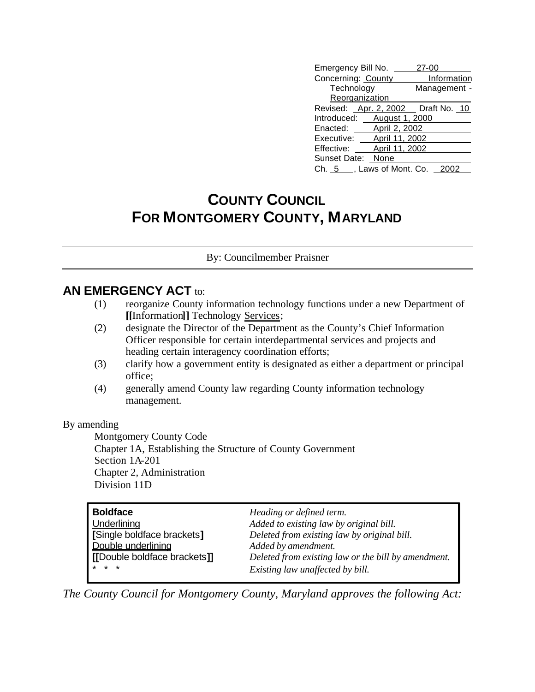| Emergency Bill No.                   | 27-00        |
|--------------------------------------|--------------|
| Concerning: County                   | Information  |
| Technology                           | Management - |
| Reorganization                       |              |
| Revised: Apr. 2, 2002   Draft No. 10 |              |
| Introduced: August 1, 2000           |              |
| Enacted: April 2, 2002               |              |
| Executive: April 11, 2002            |              |
| Effective:<br>April 11, 2002         |              |
| Sunset Date: None                    |              |
| Ch. 5 , Laws of Mont. Co. 2002       |              |
|                                      |              |

## **COUNTY COUNCIL FOR MONTGOMERY COUNTY, MARYLAND**

By: Councilmember Praisner

## **AN EMERGENCY ACT to:**

- (1) reorganize County information technology functions under a new Department of **[[**Information**]]** Technology Services;
- (2) designate the Director of the Department as the County's Chief Information Officer responsible for certain interdepartmental services and projects and heading certain interagency coordination efforts;
- (3) clarify how a government entity is designated as either a department or principal office;
- (4) generally amend County law regarding County information technology management.

By amending

Montgomery County Code Chapter 1A, Establishing the Structure of County Government Section 1A-201 Chapter 2, Administration Division 11D

| <b>Boldface</b>              | Heading or defined term.                            |
|------------------------------|-----------------------------------------------------|
| Underlining                  | Added to existing law by original bill.             |
| [Single boldface brackets]   | Deleted from existing law by original bill.         |
| Double underlining           | Added by amendment.                                 |
| [[Double boldface brackets]] | Deleted from existing law or the bill by amendment. |
| $* * *$                      | Existing law unaffected by bill.                    |

*The County Council for Montgomery County, Maryland approves the following Act:*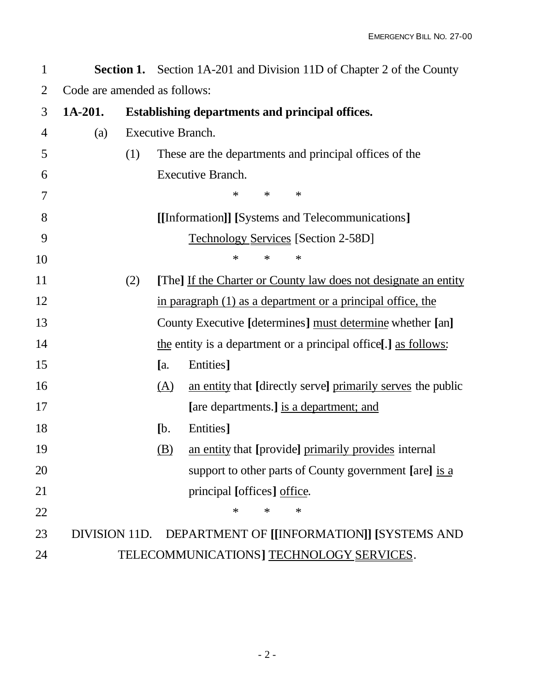|                                | <b>Section 1.</b> Section 1A-201 and Division 11D of Chapter 2 of the County |
|--------------------------------|------------------------------------------------------------------------------|
| 2 Code are amended as follows: |                                                                              |

| 3  | 1A-201. |     |                                                        | Establishing departments and principal offices.                         |  |
|----|---------|-----|--------------------------------------------------------|-------------------------------------------------------------------------|--|
| 4  | (a)     |     |                                                        | <b>Executive Branch.</b>                                                |  |
| 5  |         | (1) | These are the departments and principal offices of the |                                                                         |  |
| 6  |         |     |                                                        | <b>Executive Branch.</b>                                                |  |
| 7  |         |     |                                                        | $\ast$<br>∗<br>∗                                                        |  |
| 8  |         |     |                                                        | [[Information]] [Systems and Telecommunications]                        |  |
| 9  |         |     |                                                        | <b>Technology Services</b> [Section 2-58D]                              |  |
| 10 |         |     |                                                        | ∗<br>$\ast$<br>∗                                                        |  |
| 11 |         | (2) |                                                        | [The] If the Charter or County law does not designate an entity         |  |
| 12 |         |     |                                                        | in paragraph (1) as a department or a principal office, the             |  |
| 13 |         |     |                                                        | County Executive [determines] must determine whether [an]               |  |
| 14 |         |     |                                                        | the entity is a department or a principal office. <u>J as follows</u> : |  |
| 15 |         |     | [a.                                                    | Entities]                                                               |  |
| 16 |         |     | <u>(A)</u>                                             | an entity that [directly serve] primarily serves the public             |  |
| 17 |         |     |                                                        | [are departments.] is a department; and                                 |  |
| 18 |         |     | [b]                                                    | Entities]                                                               |  |
| 19 |         |     | <u>(B)</u>                                             | an entity that [provide] primarily provides internal                    |  |
| 20 |         |     |                                                        | support to other parts of County government [are] is a                  |  |
| 21 |         |     |                                                        | principal [offices] office.                                             |  |
| 22 |         |     |                                                        | $\ast$<br>$\ast$<br>$\ast$                                              |  |
| 23 |         |     |                                                        | DIVISION 11D. DEPARTMENT OF [[INFORMATION]] [SYSTEMS AND                |  |
| 24 |         |     |                                                        | TELECOMMUNICATIONS] TECHNOLOGY SERVICES.                                |  |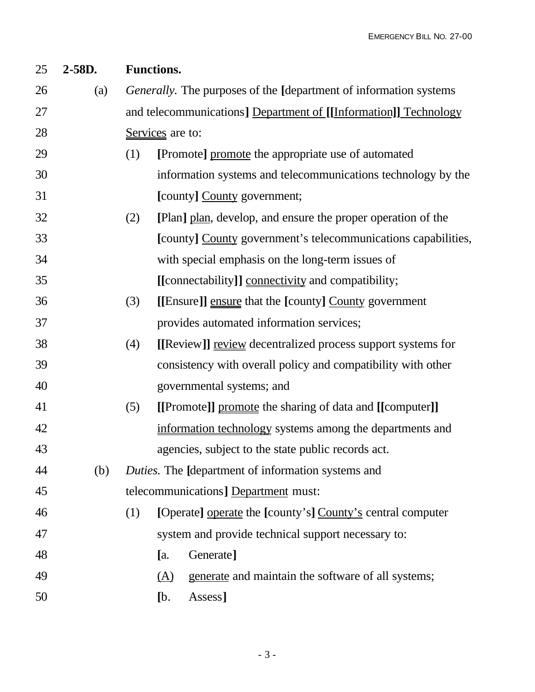| 25 | 2-58D. | <b>Functions.</b>                                                         |                                                              |  |  |  |  |
|----|--------|---------------------------------------------------------------------------|--------------------------------------------------------------|--|--|--|--|
| 26 | (a)    | <i>Generally.</i> The purposes of the [department of information systems] |                                                              |  |  |  |  |
| 27 |        | and telecommunications] Department of [[Information]] Technology          |                                                              |  |  |  |  |
| 28 |        | Services are to:                                                          |                                                              |  |  |  |  |
| 29 |        | [Promote] promote the appropriate use of automated<br>(1)                 |                                                              |  |  |  |  |
| 30 |        | information systems and telecommunications technology by the              |                                                              |  |  |  |  |
| 31 |        | [county] County government;                                               |                                                              |  |  |  |  |
| 32 |        | (2)                                                                       | [Plan] plan, develop, and ensure the proper operation of the |  |  |  |  |
| 33 |        | [county] County government's telecommunications capabilities,             |                                                              |  |  |  |  |
| 34 |        | with special emphasis on the long-term issues of                          |                                                              |  |  |  |  |
| 35 |        | [[connectability]] connectivity and compatibility;                        |                                                              |  |  |  |  |
| 36 |        | (3)<br>[[Ensure]] ensure that the [county] County government              |                                                              |  |  |  |  |
| 37 |        | provides automated information services;                                  |                                                              |  |  |  |  |
| 38 |        | (4)<br>[[Review]] review decentralized process support systems for        |                                                              |  |  |  |  |
| 39 |        | consistency with overall policy and compatibility with other              |                                                              |  |  |  |  |
| 40 |        | governmental systems; and                                                 |                                                              |  |  |  |  |
| 41 |        | [[Promote]] promote the sharing of data and [[computer]]<br>(5)           |                                                              |  |  |  |  |
| 42 |        | information technology systems among the departments and                  |                                                              |  |  |  |  |
| 43 |        | agencies, subject to the state public records act.                        |                                                              |  |  |  |  |
| 44 | (b)    | Duties. The [department of information systems and                        |                                                              |  |  |  |  |
| 45 |        | telecommunications] Department must:                                      |                                                              |  |  |  |  |
| 46 |        | (1)<br>[Operate] operate the [county's] County's central computer         |                                                              |  |  |  |  |
| 47 |        | system and provide technical support necessary to:                        |                                                              |  |  |  |  |
| 48 |        | Generate]<br>[a.                                                          |                                                              |  |  |  |  |
| 49 |        | generate and maintain the software of all systems;<br><u>(A)</u>          |                                                              |  |  |  |  |
| 50 |        | [b]<br>Assess]                                                            |                                                              |  |  |  |  |
|    |        |                                                                           |                                                              |  |  |  |  |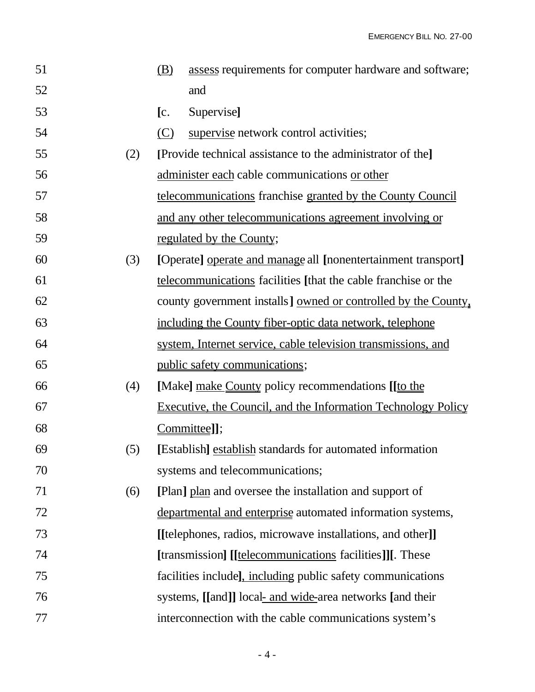| 51 |     | (B)                                                        | assess requirements for computer hardware and software;                 |  |  |  |  |
|----|-----|------------------------------------------------------------|-------------------------------------------------------------------------|--|--|--|--|
| 52 |     |                                                            | and                                                                     |  |  |  |  |
| 53 |     | [c.]                                                       | Supervise]                                                              |  |  |  |  |
| 54 |     | (C)                                                        | supervise network control activities;                                   |  |  |  |  |
| 55 | (2) |                                                            | [Provide technical assistance to the administrator of the]              |  |  |  |  |
| 56 |     |                                                            | administer each cable communications or other                           |  |  |  |  |
| 57 |     | telecommunications franchise granted by the County Council |                                                                         |  |  |  |  |
| 58 |     |                                                            | and any other telecommunications agreement involving or                 |  |  |  |  |
| 59 |     |                                                            | regulated by the County;                                                |  |  |  |  |
| 60 | (3) |                                                            | [Operate] operate and manage all [nonentertainment transport]           |  |  |  |  |
| 61 |     |                                                            | telecommunications facilities [that the cable franchise or the          |  |  |  |  |
| 62 |     |                                                            | county government installs ] <u>owned or controlled by the County</u> . |  |  |  |  |
| 63 |     |                                                            | including the County fiber-optic data network, telephone                |  |  |  |  |
| 64 |     |                                                            | system, Internet service, cable television transmissions, and           |  |  |  |  |
| 65 |     |                                                            | public safety communications;                                           |  |  |  |  |
| 66 | (4) |                                                            | [Make] make County policy recommendations [[to the                      |  |  |  |  |
| 67 |     |                                                            | <b>Executive, the Council, and the Information Technology Policy</b>    |  |  |  |  |
| 68 |     |                                                            | Committee]];                                                            |  |  |  |  |
| 69 | (5) |                                                            | [Establish] establish standards for automated information               |  |  |  |  |
| 70 |     |                                                            | systems and telecommunications;                                         |  |  |  |  |
| 71 | (6) |                                                            | [Plan] plan and oversee the installation and support of                 |  |  |  |  |
| 72 |     |                                                            | departmental and enterprise automated information systems,              |  |  |  |  |
| 73 |     |                                                            | [[telephones, radios, microwave installations, and other]]              |  |  |  |  |
| 74 |     |                                                            | [transmission] [[telecommunications facilities]][. These                |  |  |  |  |
| 75 |     |                                                            | facilities include], including public safety communications             |  |  |  |  |
| 76 |     |                                                            | systems, [[and]] local- and wide-area networks [and their               |  |  |  |  |
| 77 |     |                                                            | interconnection with the cable communications system's                  |  |  |  |  |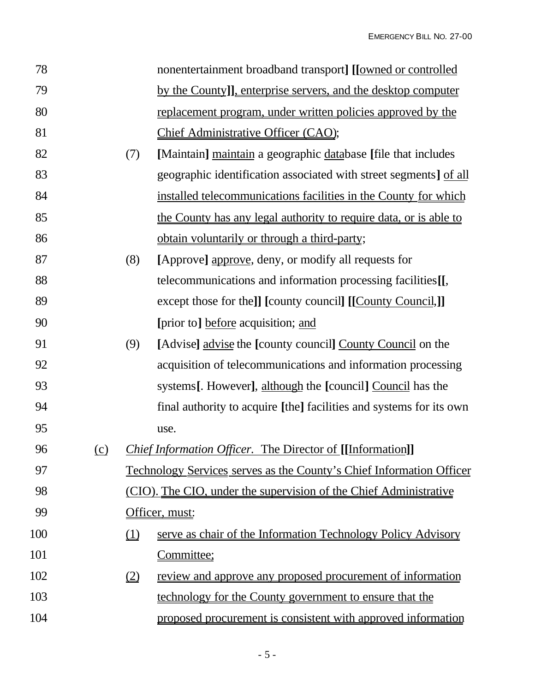| 78  |         |                               | nonentertainment broadband transport] [[owned or controlled                 |  |  |  |  |
|-----|---------|-------------------------------|-----------------------------------------------------------------------------|--|--|--|--|
| 79  |         |                               | by the County]], enterprise servers, and the desktop computer               |  |  |  |  |
| 80  |         |                               | replacement program, under written policies approved by the                 |  |  |  |  |
| 81  |         |                               | Chief Administrative Officer (CAO);                                         |  |  |  |  |
| 82  |         | (7)                           | [Maintain] maintain a geographic database [file that includes]              |  |  |  |  |
| 83  |         |                               | geographic identification associated with street segments] of all           |  |  |  |  |
| 84  |         |                               | installed telecommunications facilities in the County for which             |  |  |  |  |
| 85  |         |                               | the County has any legal authority to require data, or is able to           |  |  |  |  |
| 86  |         |                               | obtain voluntarily or through a third-party;                                |  |  |  |  |
| 87  |         | (8)                           | [Approve] approve, deny, or modify all requests for                         |  |  |  |  |
| 88  |         |                               | telecommunications and information processing facilities[[,                 |  |  |  |  |
| 89  |         |                               | except those for the]] [county council] [[County Council,]]                 |  |  |  |  |
| 90  |         |                               | [prior to] before acquisition; and                                          |  |  |  |  |
| 91  |         | (9)                           | [Advise] advise the [county council] County Council on the                  |  |  |  |  |
| 92  |         |                               | acquisition of telecommunications and information processing                |  |  |  |  |
| 93  |         |                               | systems [. However], although the [council] Council has the                 |  |  |  |  |
| 94  |         |                               | final authority to acquire [the] facilities and systems for its own         |  |  |  |  |
| 95  |         |                               | use.                                                                        |  |  |  |  |
| 96  | $\circ$ |                               | Chief Information Officer. The Director of [[Information]]                  |  |  |  |  |
| 97  |         |                               | <b>Technology Services serves as the County's Chief Information Officer</b> |  |  |  |  |
| 98  |         |                               | (CIO). The CIO, under the supervision of the Chief Administrative           |  |  |  |  |
| 99  |         |                               | Officer, must:                                                              |  |  |  |  |
| 100 |         | (1)                           | serve as chair of the Information Technology Policy Advisory                |  |  |  |  |
| 101 |         |                               | Committee;                                                                  |  |  |  |  |
| 102 |         | $\underline{\textcircled{2}}$ | <u>review and approve any proposed procurement of information</u>           |  |  |  |  |
| 103 |         |                               | technology for the County government to ensure that the                     |  |  |  |  |
| 104 |         |                               | proposed procurement is consistent with approved information                |  |  |  |  |
|     |         |                               |                                                                             |  |  |  |  |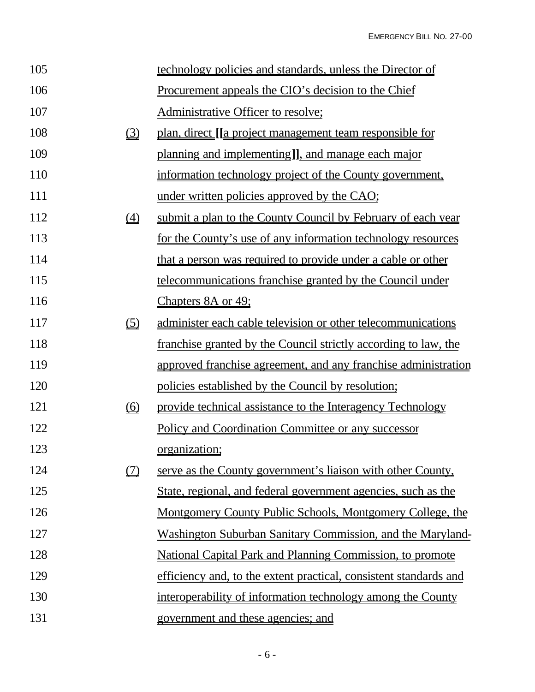| 105 |                               | technology policies and standards, unless the Director of         |
|-----|-------------------------------|-------------------------------------------------------------------|
| 106 |                               | <u>Procurement appeals the CIO's decision to the Chief</u>        |
| 107 |                               | Administrative Officer to resolve;                                |
| 108 | $\underline{\textcircled{3}}$ | plan, direct [[a project management team responsible for          |
| 109 |                               | planning and implementing], and manage each major                 |
| 110 |                               | information technology project of the County government,          |
| 111 |                               | under written policies approved by the CAO;                       |
| 112 | $\triangleq$                  | submit a plan to the County Council by February of each year      |
| 113 |                               | for the County's use of any information technology resources      |
| 114 |                               | that a person was required to provide under a cable or other      |
| 115 |                               | <u>telecommunications franchise granted by the Council under</u>  |
| 116 |                               | Chapters 8A or 49;                                                |
| 117 | $\circ$                       | administer each cable television or other telecommunications      |
| 118 |                               | franchise granted by the Council strictly according to law, the   |
| 119 |                               | approved franchise agreement, and any franchise administration    |
| 120 |                               | policies established by the Council by resolution;                |
| 121 | $\underline{\underline{(6)}}$ | provide technical assistance to the Interagency Technology        |
| 122 |                               | <u>Policy and Coordination Committee or any successor</u>         |
| 123 |                               | organization;                                                     |
| 124 | (7)                           | serve as the County government's liaison with other County,       |
| 125 |                               | State, regional, and federal government agencies, such as the     |
| 126 |                               | <u>Montgomery County Public Schools, Montgomery College, the</u>  |
| 127 |                               | <u>Washington Suburban Sanitary Commission, and the Maryland-</u> |
| 128 |                               | <b>National Capital Park and Planning Commission, to promote</b>  |
| 129 |                               | efficiency and, to the extent practical, consistent standards and |
| 130 |                               | interoperability of information technology among the County       |
| 131 |                               | government and these agencies; and                                |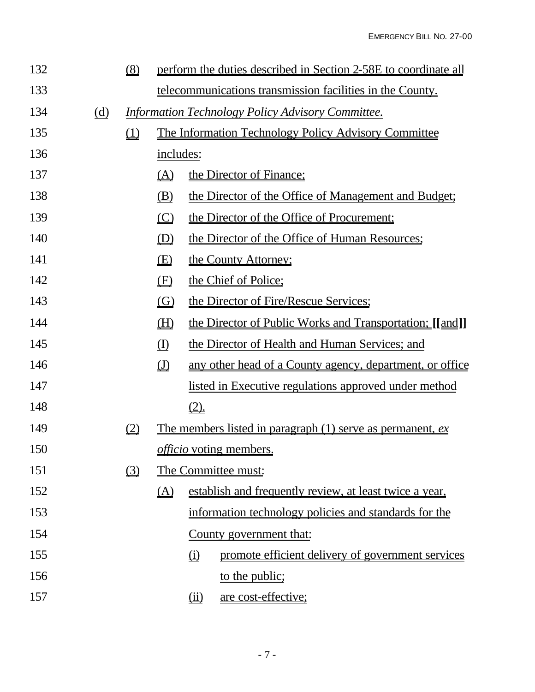| 132 |                             | (8)         |                                                             |                               | perform the duties described in Section 2-58E to coordinate all   |
|-----|-----------------------------|-------------|-------------------------------------------------------------|-------------------------------|-------------------------------------------------------------------|
| 133 |                             |             | telecommunications transmission facilities in the County.   |                               |                                                                   |
| 134 | $\underline{\underline{d}}$ |             | <b>Information Technology Policy Advisory Committee.</b>    |                               |                                                                   |
| 135 |                             | $\bigoplus$ | <u>The Information Technology Policy Advisory Committee</u> |                               |                                                                   |
| 136 |                             |             | includes:                                                   |                               |                                                                   |
| 137 |                             |             | <u>(A)</u>                                                  |                               | the Director of Finance:                                          |
| 138 |                             |             | the Director of the Office of Management and Budget;<br>(B) |                               |                                                                   |
| 139 |                             |             | $\underline{\mathbb{(C)}}$                                  |                               | the Director of the Office of Procurement;                        |
| 140 |                             |             | $\circled{D}$                                               |                               | the Director of the Office of Human Resources;                    |
| 141 |                             |             | $\mathbf{E}$                                                |                               | the County Attorney;                                              |
| 142 |                             |             | $\left( \underline{F}\right)$                               |                               | the Chief of Police;                                              |
| 143 |                             |             | <u>(G)</u>                                                  |                               | the Director of Fire/Rescue Services;                             |
| 144 |                             |             | <u>(H)</u>                                                  |                               | <u>the Director of Public Works and Transportation; [[and]]</u>   |
| 145 |                             |             | $\underline{\textcircled{1}}$                               |                               | the Director of Health and Human Services; and                    |
| 146 |                             |             | $\underline{\text{(J)}}$                                    |                               | any other head of a County agency, department, or office          |
| 147 |                             |             |                                                             |                               | listed in Executive regulations approved under method             |
| 148 |                             |             |                                                             | $\underline{\underline{(2)}}$ |                                                                   |
| 149 |                             | (2)         |                                                             |                               | <u>The members listed in paragraph (1) serve as permanent, ex</u> |
| 150 |                             |             |                                                             |                               | <i>officio</i> voting members.                                    |
| 151 |                             | (3)         |                                                             |                               | The Committee must:                                               |
| 152 |                             |             | $\Delta$                                                    |                               | establish and frequently review, at least twice a year,           |
| 153 |                             |             | information technology policies and standards for the       |                               |                                                                   |
| 154 |                             |             |                                                             |                               | <u>County government that:</u>                                    |
| 155 |                             |             |                                                             | $\Omega$                      | promote efficient delivery of government services                 |
| 156 |                             |             |                                                             |                               | to the public;                                                    |
| 157 |                             |             |                                                             | (ii)                          | are cost-effective;                                               |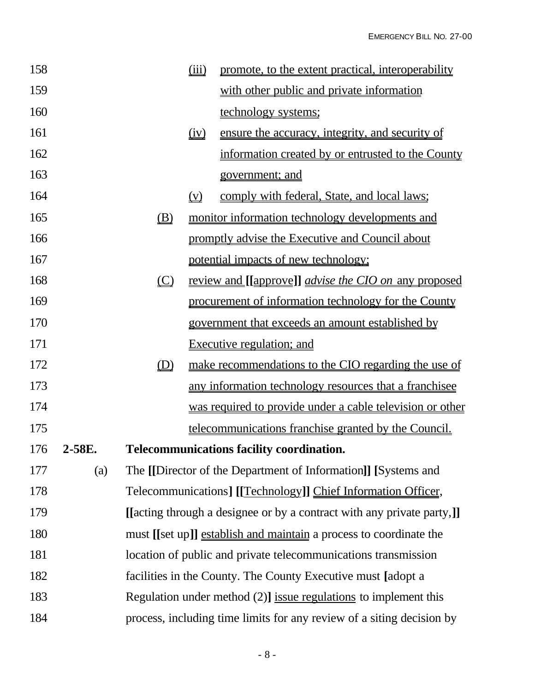| 158 |        |                                                                        | (iii)                                                   | promote, to the extent practical, interoperability                    |  |
|-----|--------|------------------------------------------------------------------------|---------------------------------------------------------|-----------------------------------------------------------------------|--|
| 159 |        |                                                                        |                                                         | with other public and private information                             |  |
| 160 |        |                                                                        |                                                         | technology systems;                                                   |  |
| 161 |        |                                                                        | $\underline{(iv)}$                                      | ensure the accuracy, integrity, and security of                       |  |
| 162 |        |                                                                        |                                                         | information created by or entrusted to the County                     |  |
| 163 |        |                                                                        |                                                         | government; and                                                       |  |
| 164 |        |                                                                        | $(\underline{V})$                                       | <u>comply with federal, State, and local laws;</u>                    |  |
| 165 |        | (B)                                                                    | monitor information technology developments and         |                                                                       |  |
| 166 |        |                                                                        |                                                         | promptly advise the Executive and Council about                       |  |
| 167 |        |                                                                        |                                                         | potential impacts of new technology;                                  |  |
| 168 |        | $\underline{\mathbb{C}}$                                               |                                                         | <u>review and [[approve]] <i>advise the CIO on</i> any proposed</u>   |  |
| 169 |        |                                                                        | procurement of information technology for the County    |                                                                       |  |
| 170 |        |                                                                        | <u>government that exceeds an amount established by</u> |                                                                       |  |
| 171 |        |                                                                        |                                                         | Executive regulation; and                                             |  |
| 172 |        | (D)                                                                    |                                                         | make recommendations to the CIO regarding the use of                  |  |
| 173 |        |                                                                        |                                                         | <u>any information technology resources that a franchisee</u>         |  |
| 174 |        |                                                                        |                                                         | <u>was required to provide under a cable television or other</u>      |  |
| 175 |        |                                                                        |                                                         | <u>telecommunications franchise granted by the Council.</u>           |  |
| 176 | 2-58E. |                                                                        |                                                         | <b>Telecommunications facility coordination.</b>                      |  |
| 177 | (a)    | The [[Director of the Department of Information]] [Systems and         |                                                         |                                                                       |  |
| 178 |        | Telecommunications] [[Technology]] Chief Information Officer,          |                                                         |                                                                       |  |
| 179 |        | [[acting through a designee or by a contract with any private party,]] |                                                         |                                                                       |  |
| 180 |        | must [[set up]] establish and maintain a process to coordinate the     |                                                         |                                                                       |  |
| 181 |        |                                                                        |                                                         | location of public and private telecommunications transmission        |  |
| 182 |        |                                                                        |                                                         | facilities in the County. The County Executive must [adopt a          |  |
| 183 |        |                                                                        |                                                         | Regulation under method $(2)$ ] issue regulations to implement this   |  |
| 184 |        |                                                                        |                                                         | process, including time limits for any review of a siting decision by |  |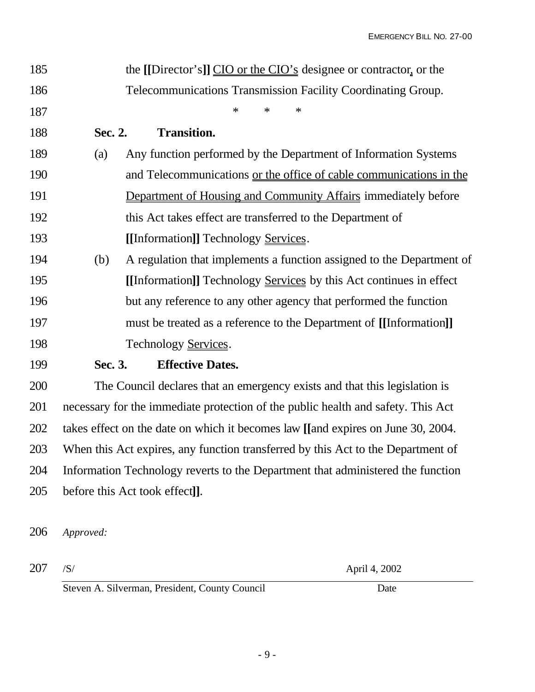| 185 |         | the [[Director's]] CIO or the CIO's designee or contractor, or the               |  |  |  |  |  |
|-----|---------|----------------------------------------------------------------------------------|--|--|--|--|--|
| 186 |         | Telecommunications Transmission Facility Coordinating Group.                     |  |  |  |  |  |
| 187 |         | $\ast$<br>$\ast$<br>$\ast$                                                       |  |  |  |  |  |
| 188 | Sec. 2. | <b>Transition.</b>                                                               |  |  |  |  |  |
| 189 | (a)     | Any function performed by the Department of Information Systems                  |  |  |  |  |  |
| 190 |         | and Telecommunications or the office of cable communications in the              |  |  |  |  |  |
| 191 |         | <b>Department of Housing and Community Affairs immediately before</b>            |  |  |  |  |  |
| 192 |         | this Act takes effect are transferred to the Department of                       |  |  |  |  |  |
| 193 |         | [[Information]] Technology Services.                                             |  |  |  |  |  |
| 194 | (b)     | A regulation that implements a function assigned to the Department of            |  |  |  |  |  |
| 195 |         | [[Information]] Technology Services by this Act continues in effect              |  |  |  |  |  |
| 196 |         | but any reference to any other agency that performed the function                |  |  |  |  |  |
| 197 |         | must be treated as a reference to the Department of [[Information]]              |  |  |  |  |  |
| 198 |         | Technology Services.                                                             |  |  |  |  |  |
| 199 | Sec. 3. | <b>Effective Dates.</b>                                                          |  |  |  |  |  |
| 200 |         | The Council declares that an emergency exists and that this legislation is       |  |  |  |  |  |
| 201 |         | necessary for the immediate protection of the public health and safety. This Act |  |  |  |  |  |
| 202 |         | takes effect on the date on which it becomes law [[and expires on June 30, 2004. |  |  |  |  |  |
| 203 |         | When this Act expires, any function transferred by this Act to the Department of |  |  |  |  |  |
| 204 |         | Information Technology reverts to the Department that administered the function  |  |  |  |  |  |

before this Act took effect**]]**.

*Approved:*

/S/ April 4, 2002

Steven A. Silverman, President, County Council Date